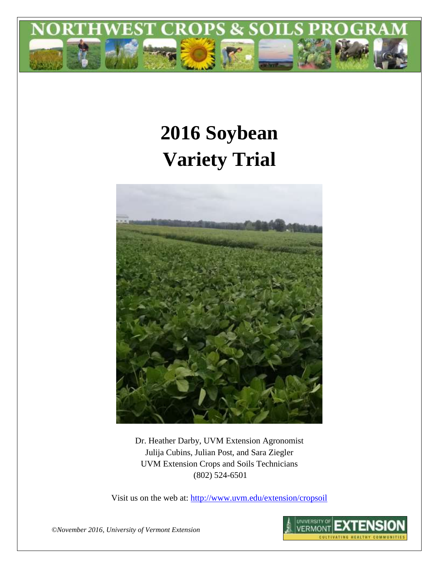

# **2016 Soybean Variety Trial**



Dr. Heather Darby, UVM Extension Agronomist Julija Cubins, Julian Post, and Sara Ziegler UVM Extension Crops and Soils Technicians (802) 524-6501

Visit us on the web at: <http://www.uvm.edu/extension/cropsoil>

*©November 2016, University of Vermont Extension*

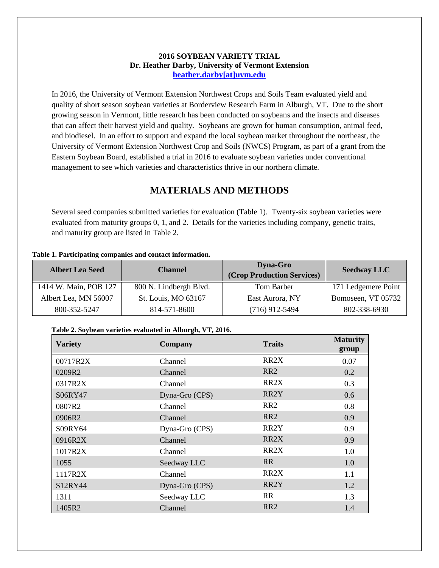### **2016 SOYBEAN VARIETY TRIAL Dr. Heather Darby, University of Vermont Extension [heather.darby\[at\]uvm.edu](mailto:heather.darby@uvm.edu?subject=2012%20Short%20Season%20Corn%20Report)**

In 2016, the University of Vermont Extension Northwest Crops and Soils Team evaluated yield and quality of short season soybean varieties at Borderview Research Farm in Alburgh, VT. Due to the short growing season in Vermont, little research has been conducted on soybeans and the insects and diseases that can affect their harvest yield and quality. Soybeans are grown for human consumption, animal feed, and biodiesel. In an effort to support and expand the local soybean market throughout the northeast, the University of Vermont Extension Northwest Crop and Soils (NWCS) Program, as part of a grant from the Eastern Soybean Board, established a trial in 2016 to evaluate soybean varieties under conventional management to see which varieties and characteristics thrive in our northern climate.

## **MATERIALS AND METHODS**

Several seed companies submitted varieties for evaluation (Table 1). Twenty-six soybean varieties were evaluated from maturity groups 0, 1, and 2. Details for the varieties including company, genetic traits, and maturity group are listed in Table 2.

#### **Table 1. Participating companies and contact information.**

| <b>Albert Lea Seed</b> | <b>Channel</b>         | <b>Dyna-Gro</b><br>(Crop Production Services) | <b>Seedway LLC</b>  |
|------------------------|------------------------|-----------------------------------------------|---------------------|
| 1414 W. Main, POB 127  | 800 N. Lindbergh Blvd. | Tom Barber                                    | 171 Ledgemere Point |
| Albert Lea, MN 56007   | St. Louis, MO 63167    | East Aurora, NY                               | Bomoseen, VT 05732  |
| 800-352-5247           | 814-571-8600           | $(716)$ 912-5494                              | 802-338-6930        |

## **Table 2. Soybean varieties evaluated in Alburgh, VT, 2016.**

| <b>Variety</b> | Company        |                   | <b>Maturity</b><br>group |
|----------------|----------------|-------------------|--------------------------|
| 00717R2X       | Channel        | RR <sub>2</sub> X | 0.07                     |
| 0209R2         | Channel        | RR <sub>2</sub>   | 0.2                      |
| 0317R2X        | Channel        | RR <sub>2</sub> X | 0.3                      |
| S06RY47        | Dyna-Gro (CPS) | RR <sub>2</sub> Y | 0.6                      |
| 0807R2         | Channel        | RR <sub>2</sub>   | 0.8                      |
| 0906R2         | Channel        | RR <sub>2</sub>   | 0.9                      |
| S09RY64        | Dyna-Gro (CPS) | RR2Y              | 0.9                      |
| 0916R2X        | Channel        | RR <sub>2</sub> X | 0.9                      |
| 1017R2X        | Channel        | RR <sub>2</sub> X | 1.0                      |
| 1055           | Seedway LLC    | <b>RR</b>         | 1.0                      |
| 1117R2X        | Channel        | RR <sub>2</sub> X | 1.1                      |
| S12RY44        | Dyna-Gro (CPS) | RR <sub>2</sub> Y | 1.2                      |
| 1311           | Seedway LLC    | <b>RR</b>         | 1.3                      |
| 1405R2         | Channel        | RR <sub>2</sub>   | 1.4                      |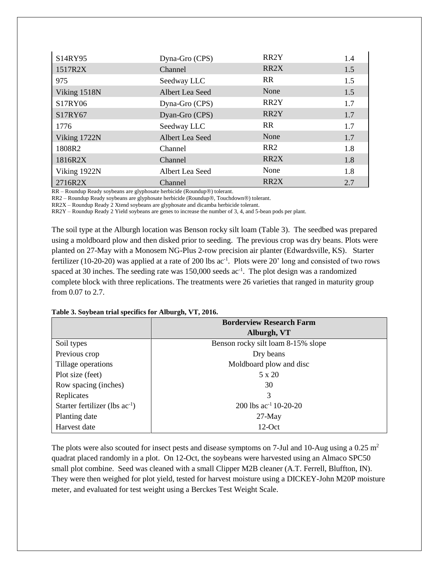| S14RY95      | Dyna-Gro (CPS)  | RR <sub>2</sub> Y | 1.4 |
|--------------|-----------------|-------------------|-----|
| 1517R2X      | Channel         | RR <sub>2</sub> X | 1.5 |
| 975          | Seedway LLC     | <b>RR</b>         | 1.5 |
| Viking 1518N | Albert Lea Seed | None              | 1.5 |
| S17RY06      | Dyna-Gro (CPS)  | RR <sub>2</sub> Y | 1.7 |
| S17RY67      | Dyan-Gro (CPS)  | RR <sub>2</sub> Y | 1.7 |
| 1776         | Seedway LLC     | <b>RR</b>         | 1.7 |
| Viking 1722N | Albert Lea Seed | None              | 1.7 |
| 1808R2       | Channel         | RR <sub>2</sub>   | 1.8 |
| 1816R2X      | Channel         | RR <sub>2</sub> X | 1.8 |
| Viking 1922N | Albert Lea Seed | None              | 1.8 |
| 2716R2X      | Channel         | RR <sub>2</sub> X | 2.7 |

RR – Roundup Ready soybeans are glyphosate herbicide (Roundup®) tolerant.

RR2 – Roundup Ready soybeans are glyphosate herbicide (Roundup®, Touchdown®) tolerant.

RR2X – Roundup Ready 2 Xtend soybeans are glyphosate and dicamba herbicide tolerant.

RR2Y – Roundup Ready 2 Yield soybeans are genes to increase the number of 3, 4, and 5-bean pods per plant.

The soil type at the Alburgh location was Benson rocky silt loam (Table 3). The seedbed was prepared using a moldboard plow and then disked prior to seeding. The previous crop was dry beans. Plots were planted on 27-May with a Monosem NG-Plus 2-row precision air planter (Edwardsville, KS). Starter fertilizer (10-20-20) was applied at a rate of 200 lbs  $ac^{-1}$ . Plots were 20' long and consisted of two rows spaced at 30 inches. The seeding rate was 150,000 seeds ac<sup>-1</sup>. The plot design was a randomized complete block with three replications. The treatments were 26 varieties that ranged in maturity group from 0.07 to 2.7.

| Table 3. Soybean trial specifics for Alburgh, VT, 2016. |  |  |  |
|---------------------------------------------------------|--|--|--|
|---------------------------------------------------------|--|--|--|

|                                     | <b>Borderview Research Farm</b>    |
|-------------------------------------|------------------------------------|
|                                     | Alburgh, VT                        |
| Soil types                          | Benson rocky silt loam 8-15% slope |
| Previous crop                       | Dry beans                          |
| Tillage operations                  | Moldboard plow and disc            |
| Plot size (feet)                    | $5 \times 20$                      |
| Row spacing (inches)                | 30                                 |
| Replicates                          | 3                                  |
| Starter fertilizer (lbs $ac^{-1}$ ) | 200 lbs $ac^{-1}$ 10-20-20         |
| Planting date                       | $27$ -May                          |
| Harvest date                        | $12-Oct$                           |

The plots were also scouted for insect pests and disease symptoms on 7-Jul and 10-Aug using a 0.25 m<sup>2</sup> quadrat placed randomly in a plot. On 12-Oct, the soybeans were harvested using an Almaco SPC50 small plot combine. Seed was cleaned with a small Clipper M2B cleaner (A.T. Ferrell, Bluffton, IN). They were then weighed for plot yield, tested for harvest moisture using a DICKEY-John M20P moisture meter, and evaluated for test weight using a Berckes Test Weight Scale.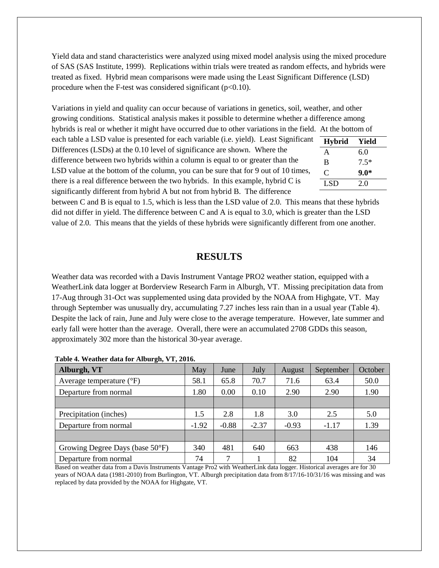Yield data and stand characteristics were analyzed using mixed model analysis using the mixed procedure of SAS (SAS Institute, 1999). Replications within trials were treated as random effects, and hybrids were treated as fixed. Hybrid mean comparisons were made using the Least Significant Difference (LSD) procedure when the F-test was considered significant  $(p<0.10)$ .

Variations in yield and quality can occur because of variations in genetics, soil, weather, and other growing conditions. Statistical analysis makes it possible to determine whether a difference among hybrids is real or whether it might have occurred due to other variations in the field. At the bottom of

each table a LSD value is presented for each variable (i.e. yield). Least Significant Differences (LSDs) at the 0.10 level of significance are shown. Where the difference between two hybrids within a column is equal to or greater than the LSD value at the bottom of the column, you can be sure that for 9 out of 10 times, there is a real difference between the two hybrids. In this example, hybrid C is significantly different from hybrid A but not from hybrid B. The difference

| <b>Hybrid</b> | Yield  |
|---------------|--------|
| A             | 6.0    |
| B             | $7.5*$ |
| C             | $9.0*$ |
| LSD.          | 2.0    |

between C and B is equal to 1.5, which is less than the LSD value of 2.0. This means that these hybrids did not differ in yield. The difference between C and A is equal to 3.0, which is greater than the LSD value of 2.0. This means that the yields of these hybrids were significantly different from one another.

## **RESULTS**

Weather data was recorded with a Davis Instrument Vantage PRO2 weather station, equipped with a WeatherLink data logger at Borderview Research Farm in Alburgh, VT. Missing precipitation data from 17-Aug through 31-Oct was supplemented using data provided by the NOAA from Highgate, VT. May through September was unusually dry, accumulating 7.27 inches less rain than in a usual year (Table 4). Despite the lack of rain, June and July were close to the average temperature. However, late summer and early fall were hotter than the average. Overall, there were an accumulated 2708 GDDs this season, approximately 302 more than the historical 30-year average.

| Alburgh, VT                       | May     | June    | July    | <b>August</b> | September | October |
|-----------------------------------|---------|---------|---------|---------------|-----------|---------|
| Average temperature $(^{\circ}F)$ | 58.1    | 65.8    | 70.7    | 71.6          | 63.4      | 50.0    |
| Departure from normal             | 1.80    | 0.00    | 0.10    | 2.90          | 2.90      | 1.90    |
|                                   |         |         |         |               |           |         |
| Precipitation (inches)            | 1.5     | 2.8     | 1.8     | 3.0           | 2.5       | 5.0     |
| Departure from normal             | $-1.92$ | $-0.88$ | $-2.37$ | $-0.93$       | $-1.17$   | 1.39    |
|                                   |         |         |         |               |           |         |
| Growing Degree Days (base 50°F)   | 340     | 481     | 640     | 663           | 438       | 146     |
| Departure from normal             | 74      | ⇁       |         | 82            | 104       | 34      |

| Table 4. Weather data for Alburgh, VT, 2016. |  |  |  |  |  |
|----------------------------------------------|--|--|--|--|--|
|----------------------------------------------|--|--|--|--|--|

Based on weather data from a Davis Instruments Vantage Pro2 with WeatherLink data logger. Historical averages are for 30 years of NOAA data (1981-2010) from Burlington, VT. Alburgh precipitation data from 8/17/16-10/31/16 was missing and was replaced by data provided by the NOAA for Highgate, VT.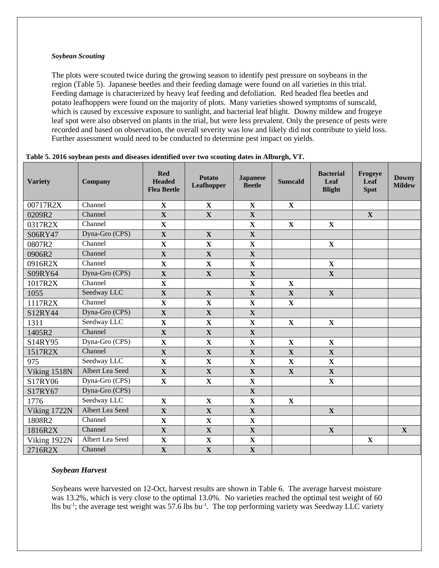#### *Soybean Scouting*

The plots were scouted twice during the growing season to identify pest pressure on soybeans in the region (Table 5). Japanese beetles and their feeding damage were found on all varieties in this trial. Feeding damage is characterized by heavy leaf feeding and defoliation. Red headed flea beetles and potato leafhoppers were found on the majority of plots. Many varieties showed symptoms of sunscald, which is caused by excessive exposure to sunlight, and bacterial leaf blight. Downy mildew and frogeye leaf spot were also observed on plants in the trial, but were less prevalent. Only the presence of pests were recorded and based on observation, the overall severity was low and likely did not contribute to yield loss. Further assessment would need to be conducted to determine pest impact on yields.

| <b>Variety</b> | Company         | <b>Red</b><br><b>Headed</b><br><b>Flea Beetle</b> | <b>Potato</b><br><b>Leafhopper</b> | <b>Japanese</b><br><b>Beetle</b> | <b>Sunscald</b> | <b>Bacterial</b><br>Leaf<br><b>Blight</b> | Frogeye<br>Leaf<br><b>Spot</b> | <b>Downy</b><br><b>Mildew</b> |
|----------------|-----------------|---------------------------------------------------|------------------------------------|----------------------------------|-----------------|-------------------------------------------|--------------------------------|-------------------------------|
| 00717R2X       | Channel         | $\mathbf X$                                       | $\mathbf X$                        | X                                | $\mathbf{X}$    |                                           |                                |                               |
| 0209R2         | Channel         | $\mathbf X$                                       | $\mathbf{X}$                       | $\mathbf{X}$                     |                 |                                           | $\mathbf{X}$                   |                               |
| 0317R2X        | Channel         | $\mathbf X$                                       |                                    | $\mathbf X$                      | $\mathbf X$     | $\mathbf X$                               |                                |                               |
| S06RY47        | Dyna-Gro (CPS)  | $\mathbf X$                                       | $\mathbf X$                        | $\mathbf X$                      |                 |                                           |                                |                               |
| 0807R2         | Channel         | $\mathbf X$                                       | $\mathbf X$                        | $\mathbf X$                      |                 | $\mathbf X$                               |                                |                               |
| 0906R2         | Channel         | $\mathbf X$                                       | $\mathbf X$                        | $\mathbf X$                      |                 |                                           |                                |                               |
| 0916R2X        | Channel         | $\mathbf X$                                       | $\mathbf X$                        | $\mathbf X$                      |                 | $\mathbf X$                               |                                |                               |
| S09RY64        | Dyna-Gro (CPS)  | $\mathbf X$                                       | $\mathbf X$                        | $\mathbf X$                      |                 | $\mathbf X$                               |                                |                               |
| 1017R2X        | Channel         | $\mathbf X$                                       |                                    | $\mathbf X$                      | $\mathbf X$     |                                           |                                |                               |
| 1055           | Seedway LLC     | $\mathbf X$                                       | $\mathbf{X}$                       | $\mathbf X$                      | $\mathbf{X}$    | $\mathbf X$                               |                                |                               |
| 1117R2X        | Channel         | $\mathbf X$                                       | $\mathbf X$                        | $\mathbf X$                      | $\mathbf X$     |                                           |                                |                               |
| S12RY44        | Dyna-Gro (CPS)  | $\mathbf X$                                       | $\mathbf X$                        | $\mathbf X$                      |                 |                                           |                                |                               |
| 1311           | Seedway LLC     | $\mathbf X$                                       | $\mathbf X$                        | $\mathbf X$                      | $\mathbf X$     | $\mathbf X$                               |                                |                               |
| 1405R2         | Channel         | $\mathbf X$                                       | $\mathbf X$                        | $\mathbf X$                      |                 |                                           |                                |                               |
| S14RY95        | Dyna-Gro (CPS)  | $\mathbf X$                                       | $\mathbf X$                        | $\mathbf X$                      | $\mathbf X$     | $\mathbf X$                               |                                |                               |
| 1517R2X        | Channel         | $\mathbf X$                                       | $\mathbf X$                        | $\mathbf X$                      | $\mathbf X$     | X                                         |                                |                               |
| 975            | Seedway LLC     | $\overline{\mathbf{X}}$                           | $\mathbf X$                        | $\overline{\mathbf{X}}$          | $\mathbf X$     | $\mathbf X$                               |                                |                               |
| Viking 1518N   | Albert Lea Seed | $\mathbf X$                                       | $\mathbf X$                        | $\mathbf X$                      | $\mathbf X$     | X                                         |                                |                               |
| S17RY06        | Dyna-Gro (CPS)  | $\mathbf X$                                       | $\mathbf X$                        | $\mathbf X$                      |                 | $\mathbf X$                               |                                |                               |
| S17RY67        | Dyna-Gro (CPS)  |                                                   |                                    | $\mathbf X$                      |                 |                                           |                                |                               |
| 1776           | Seedway LLC     | $\mathbf X$                                       | $\mathbf X$                        | $\mathbf X$                      | $\mathbf X$     |                                           |                                |                               |
| Viking 1722N   | Albert Lea Seed | $\mathbf X$                                       | $\mathbf X$                        | $\mathbf X$                      |                 | $\mathbf X$                               |                                |                               |
| 1808R2         | Channel         | $\mathbf X$                                       | $\mathbf X$                        | $\mathbf X$                      |                 |                                           |                                |                               |
| 1816R2X        | Channel         | $\mathbf X$                                       | $\mathbf{X}$                       | $\mathbf X$                      |                 | $\mathbf X$                               |                                | $\mathbf X$                   |
| Viking 1922N   | Albert Lea Seed | $\mathbf X$                                       | $\mathbf X$                        | $\mathbf X$                      |                 |                                           | $\mathbf X$                    |                               |
| 2716R2X        | Channel         | $\mathbf X$                                       | $\mathbf X$                        | $\mathbf X$                      |                 |                                           |                                |                               |

#### **Table 5. 2016 soybean pests and diseases identified over two scouting dates in Alburgh, VT.**

#### *Soybean Harvest*

Soybeans were harvested on 12-Oct, harvest results are shown in Table 6. The average harvest moisture was 13.2%, which is very close to the optimal 13.0%. No varieties reached the optimal test weight of 60 lbs bu<sup>-1</sup>; the average test weight was 57.6 lbs bu<sup>-1</sup>. The top performing variety was Seedway LLC variety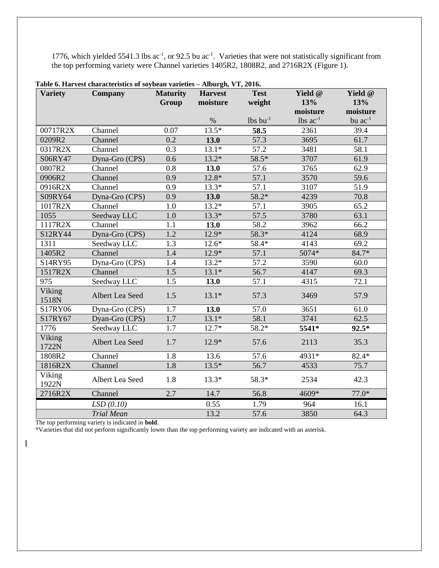1776, which yielded 5541.3 lbs  $ac^{-1}$ , or 92.5 bu  $ac^{-1}$ . Varieties that were not statistically significant from the top performing variety were Channel varieties 1405R2, 1808R2, and 2716R2X (Figure 1).

| <b>Variety</b>  | <b>Company</b>    | <b>Maturity</b>  | <b>Harvest</b> | <b>Test</b>            | Yield @         | Yield @      |
|-----------------|-------------------|------------------|----------------|------------------------|-----------------|--------------|
|                 |                   | Group            | moisture       | weight                 | 13%             | 13%          |
|                 |                   |                  |                |                        | moisture        | moisture     |
|                 |                   |                  | $\%$           | $lbs$ bu <sup>-1</sup> | $lbs$ $ac^{-1}$ | bu $ac^{-1}$ |
| 00717R2X        | Channel           | 0.07             | $13.5*$        | 58.5                   | 2361            | 39.4         |
| 0209R2          | Channel           | 0.2              | 13.0           | 57.3                   | 3695            | 61.7         |
| 0317R2X         | Channel           | 0.3              | $13.1*$        | $\overline{57.2}$      | 3481            | 58.1         |
| S06RY47         | Dyna-Gro (CPS)    | 0.6              | $13.2*$        | $58.5*$                | 3707            | 61.9         |
| 0807R2          | Channel           | 0.8              | 13.0           | 57.6                   | 3765            | 62.9         |
| 0906R2          | Channel           | 0.9              | $12.8*$        | 57.1                   | 3570            | 59.6         |
| 0916R2X         | Channel           | 0.9              | $13.3*$        | $\overline{57.1}$      | 3107            | 51.9         |
| S09RY64         | Dyna-Gro (CPS)    | 0.9              | 13.0           | $58.2*$                | 4239            | 70.8         |
| 1017R2X         | Channel           | 1.0              | $13.2*$        | 57.1                   | 3905            | 65.2         |
| 1055            | Seedway LLC       | $\overline{1.0}$ | $13.3*$        | 57.5                   | 3780            | 63.1         |
| 1117R2X         | Channel           | 1.1              | 13.0           | 58.2                   | 3962            | 66.2         |
| S12RY44         | Dyna-Gro (CPS)    | $\overline{1.2}$ | $12.9*$        | $58.3*$                | 4124            | 68.9         |
| 1311            | Seedway LLC       | 1.3              | $12.6*$        | 58.4*                  | 4143            | 69.2         |
| 1405R2          | Channel           | 1.4              | $12.9*$        | 57.1                   | 5074*           | 84.7*        |
| S14RY95         | Dyna-Gro (CPS)    | 1.4              | $13.2*$        | 57.2                   | 3590            | 60.0         |
| 1517R2X         | Channel           | $\overline{1.5}$ | $13.1*$        | 56.7                   | 4147            | 69.3         |
| 975             | Seedway LLC       | 1.5              | 13.0           | 57.1                   | 4315            | 72.1         |
| Viking<br>1518N | Albert Lea Seed   | 1.5              | $13.1*$        | 57.3                   | 3469            | 57.9         |
| S17RY06         | Dyna-Gro (CPS)    | 1.7              | 13.0           | 57.0                   | 3651            | 61.0         |
| S17RY67         | Dyan-Gro (CPS)    | $\overline{1.7}$ | $13.1*$        | 58.1                   | 3741            | 62.5         |
| 1776            | Seedway LLC       | 1.7              | $12.7*$        | 58.2*                  | 5541*           | $92.5*$      |
| Viking<br>1722N | Albert Lea Seed   | 1.7              | $12.9*$        | 57.6                   | 2113            | 35.3         |
| 1808R2          | Channel           | 1.8              | 13.6           | 57.6                   | 4931*           | $82.4*$      |
| 1816R2X         | Channel           | 1.8              | $13.5*$        | 56.7                   | 4533            | 75.7         |
| Viking<br>1922N | Albert Lea Seed   | 1.8              | $13.3*$        | 58.3*                  | 2534            | 42.3         |
| 2716R2X         | Channel           | 2.7              | 14.7           | 56.8                   | 4609*           | $77.0*$      |
|                 | LSD(0.10)         |                  | 0.55           | 1.79                   | 964             | 16.1         |
|                 | <b>Trial Mean</b> |                  | 13.2           | 57.6                   | 3850            | 64.3         |

**Table 6. Harvest characteristics of soybean varieties – Alburgh, VT, 2016.**

The top performing variety is indicated in **bold**.

 $\overline{\phantom{a}}$ 

\*Varieties that did not perform significantly lower than the top performing variety are indicated with an asterisk.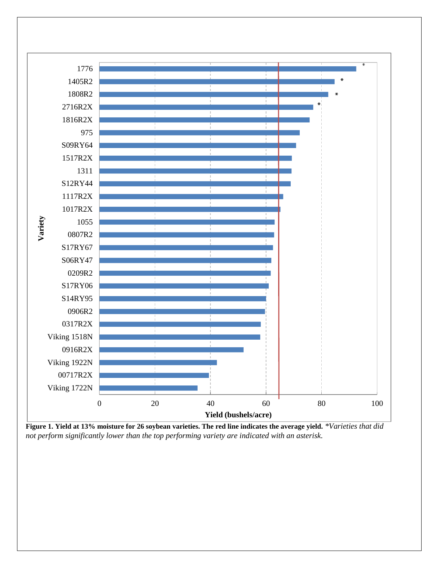

**Figure 1. Yield at 13% moisture for 26 soybean varieties. The red line indicates the average yield.** *\*Varieties that did not perform significantly lower than the top performing variety are indicated with an asterisk.*